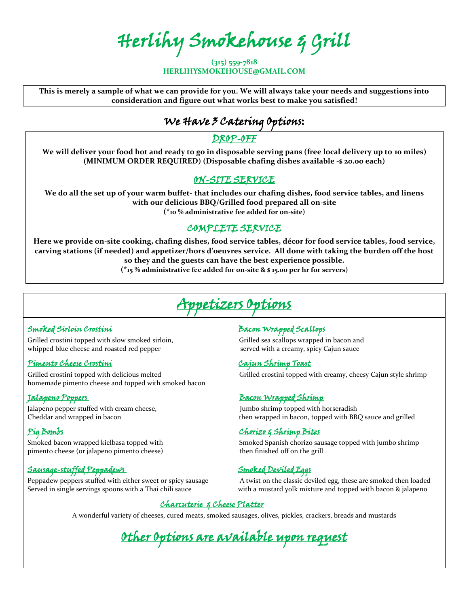Herlihy Smokehouse & Grill

**(315) 559-7818 HERLIHYSMOKEHOUSE@GMAIL.COM**

**This is merely a sample of what we can provide for you. We will always take your needs and suggestions into consideration and figure out what works best to make you satisfied!** 

# We Have 3 Catering Options:

#### DROP-OFF

**We will deliver your food hot and ready to go in disposable serving pans (free local delivery up to 10 miles) (MINIMUM ORDER REQUIRED) (Disposable chafing dishes available -\$ 20.00 each)**

#### ON-SITE SERVICE

**We do all the set up of your warm buffet- that includes our chafing dishes, food service tables, and linens with our delicious BBQ/Grilled food prepared all on-site (\*10 % administrative fee added for on-site)**

### COMPLETE SERVICE

**Here we provide on-site cooking, chafing dishes, food service tables, décor for food service tables, food service, carving stations (if needed) and appetizer/hors d'oeuvres service. All done with taking the burden off the host so they and the guests can have the best experience possible.**

**(\*15 % administrative fee added for on-site & \$ 15.00 per hr for servers)**

# Appetizers Options

Grilled crostini topped with slow smoked sirloin, Grilled sea scallops wrapped in bacon and whipped blue cheese and roasted red pepper served with a creamy, spicy Cajun sauce

#### Pimento Cheese Crostini Cajun Shrimp Toast

homemade pimento cheese and topped with smoked bacon

Jalapeno pepper stuffed with cream cheese,  $\qquad \qquad$  Jumbo shrimp topped with horseradish

pimento cheese (or jalapeno pimento cheese) then finished off on the grill

### Sausage-stuffed Peppadews Smoked Deviled Eggs

Peppadew peppers stuffed with either sweet or spicy sausage A twist on the classic deviled egg, these are smoked then loaded

#### Smoked Sirloin CrostiniBacon Wrapped Scallops

Grilled crostini topped with delicious melted Grilled Crostini topped with creamy, cheesy Cajun style shrimp

#### Jalapeno PoppersBacon Wrapped Shrimp

Cheddar and wrapped in bacon then wrapped in bacon, topped with BBQ sauce and grilled

#### Pig Bombs Chorizo & Shrimp Bites

Smoked bacon wrapped kielbasa topped with Smoked Spanish chorizo sausage topped with jumbo shrimp

Served in single servings spoons with a Thai chili sauce with a mustard yolk mixture and topped with bacon & jalapeno

#### Charcuterie & Cheese Platter

A wonderful variety of cheeses, cured meats, smoked sausages, olives, pickles, crackers, breads and mustards

Other Options are available upon request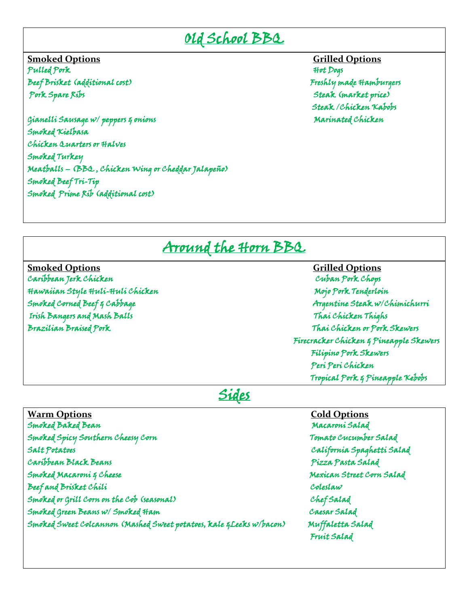## Old School BBQ

**Smoked Options Grilled Options** Pulled Pork Beef Brisket (additional cost) Freshly made Hamburgers Pork Spare Ribs Steak (market price)

Gianelli Sausage w/ peppers & onions Marinated Chicken Smoked Kielbasa Chicken Quarters or Halves Smoked Turkey Meatballs – (BBQ , Chicken Wing or Cheddar Jalapeño) Smoked Beef Tri-Tip Smoked Prime Rib (additional cost)

Steak /Chicken Kabobs

## Around the Horn BBQ

**Smoked Options Grilled Options** Caribbean Jerk Chicken Hawaiian Style Huli-Huli Chicken Mojo Pork Tenderloin Mojo Pork Tenderloin Irish Bangers and Mash Balls Thai Chicken Thighs Brazilian Braised Pork Thai Chicken or Pork Skewers

# Smoked Corned Beef & Cabbage Argentine Steak w/Chimichurri Firecracker Chicken & Pineapple Skewers Filipino Pork Skewers Peri Peri Chicken Tropical Pork & Pineapple Kebobs

## Sides

| <b>Warm Options</b>                                                  | <b>Cold Options</b>        |
|----------------------------------------------------------------------|----------------------------|
| Smoked Baked Bean                                                    | Macaroni Salad             |
| Smoked Spicy Southern Cheesy Corn                                    | Tomato Cucumber Salad      |
| Salt Potatoes                                                        | California Spaghetti Salad |
| Caribbean Black Beans                                                | Pizza Pasta Salad          |
| Smoked Macaroni & Cheese                                             | Mexican Street Corn Salad  |
| Beef and Brisket Chili                                               | Coleslaw                   |
| Smoked or Grill Corn on the Cob (seasonal)                           | ChefSalad                  |
| Smoked Green Beans w/ Smoked Ham                                     | Caesar Salad               |
| Smoked Sweet Colcannon (Mashed Sweet potatoes, kale & Leeks w/bacon) | Muffaletta Salad           |
|                                                                      | Fruit Salad                |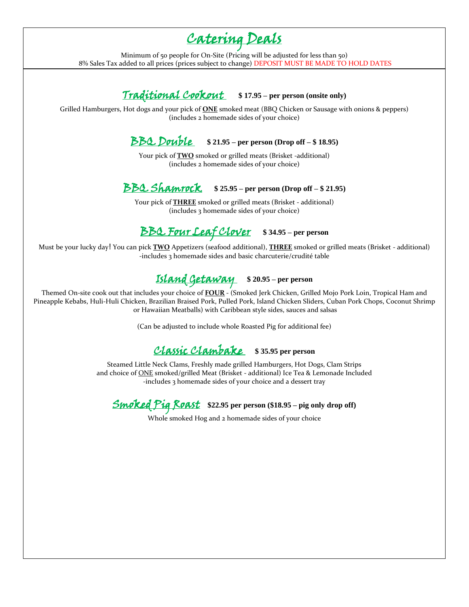# Catering Deals

Minimum of 50 people for On-Site (Pricing will be adjusted for less than 50) 8% Sales Tax added to all prices (prices subject to change) DEPOSIT MUST BE MADE TO HOLD DATES

### Traditional Cookout - **\$ 17.95 – per person (onsite only)**

Grilled Hamburgers, Hot dogs and your pick of **ONE** smoked meat (BBQ Chicken or Sausage with onions & peppers) (includes 2 homemade sides of your choice)

### BBQ Double - **\$ 21.95 – per person (Drop off – \$ 18.95)**

Your pick of **TWO** smoked or grilled meats (Brisket -additional) (includes 2 homemade sides of your choice)

### BBQ Shamrock - **\$ 25.95 – per person (Drop off – \$ 21.95)**

Your pick of **THREE** smoked or grilled meats (Brisket - additional) (includes 3 homemade sides of your choice)

## BBQ Four Leaf Clover - **\$ 34.95 – per person**

Must be your lucky day! You can pick **TWO** Appetizers (seafood additional), **THREE** smoked or grilled meats (Brisket - additional) -includes 3 homemade sides and basic charcuterie/crudité table

## Island Getaway - **\$ 20.95 – per person**

Themed On-site cook out that includes your choice of **FOUR** - (Smoked Jerk Chicken, Grilled Mojo Pork Loin, Tropical Ham and Pineapple Kebabs, Huli-Huli Chicken, Brazilian Braised Pork, Pulled Pork, Island Chicken Sliders, Cuban Pork Chops, Coconut Shrimp or Hawaiian Meatballs) with Caribbean style sides, sauces and salsas

(Can be adjusted to include whole Roasted Pig for additional fee)

### Classic Clambake - **\$ 35.95 per person**

Steamed Little Neck Clams, Freshly made grilled Hamburgers, Hot Dogs, Clam Strips and choice of **ONE** smoked/grilled Meat (Brisket - additional) Ice Tea & Lemonade Included -includes 3 homemade sides of your choice and a dessert tray

Smoked Pig Roast **\$22.95 per person (\$18.95 – pig only drop off)**

Whole smoked Hog and 2 homemade sides of your choice